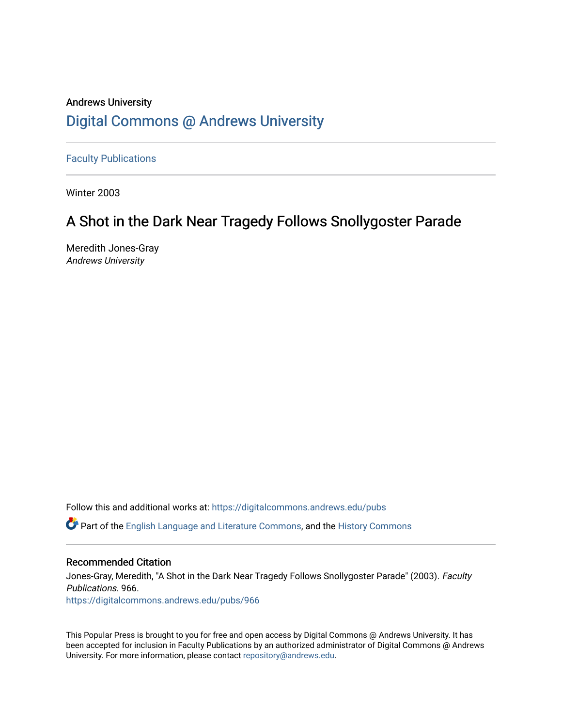### Andrews University [Digital Commons @ Andrews University](https://digitalcommons.andrews.edu/)

[Faculty Publications](https://digitalcommons.andrews.edu/pubs)

Winter 2003

## A Shot in the Dark Near Tragedy Follows Snollygoster Parade

Meredith Jones-Gray Andrews University

Follow this and additional works at: [https://digitalcommons.andrews.edu/pubs](https://digitalcommons.andrews.edu/pubs?utm_source=digitalcommons.andrews.edu%2Fpubs%2F966&utm_medium=PDF&utm_campaign=PDFCoverPages) 

**C** Part of the [English Language and Literature Commons](http://network.bepress.com/hgg/discipline/455?utm_source=digitalcommons.andrews.edu%2Fpubs%2F966&utm_medium=PDF&utm_campaign=PDFCoverPages), and the History Commons

#### Recommended Citation

Jones-Gray, Meredith, "A Shot in the Dark Near Tragedy Follows Snollygoster Parade" (2003). Faculty Publications. 966. [https://digitalcommons.andrews.edu/pubs/966](https://digitalcommons.andrews.edu/pubs/966?utm_source=digitalcommons.andrews.edu%2Fpubs%2F966&utm_medium=PDF&utm_campaign=PDFCoverPages) 

This Popular Press is brought to you for free and open access by Digital Commons @ Andrews University. It has been accepted for inclusion in Faculty Publications by an authorized administrator of Digital Commons @ Andrews University. For more information, please contact [repository@andrews.edu](mailto:repository@andrews.edu).